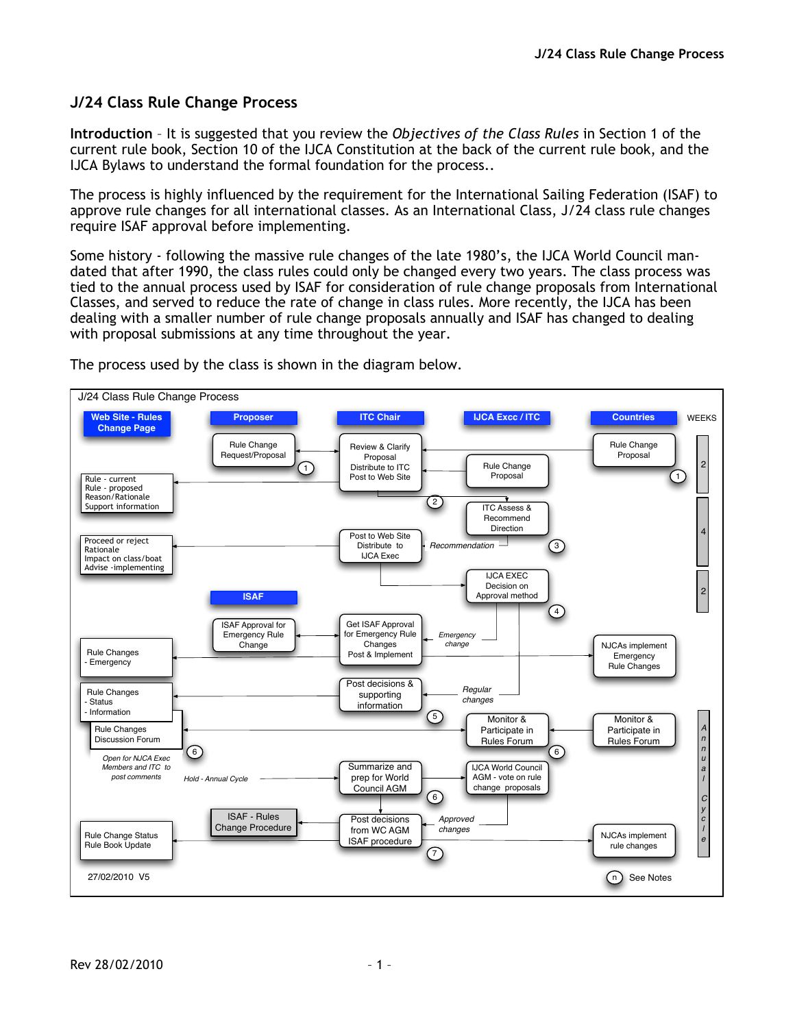## **J/24 Class Rule Change Process**

**Introduction** – It is suggested that you review the *Objectives of the Class Rules* in Section 1 of the current rule book, Section 10 of the IJCA Constitution at the back of the current rule book, and the IJCA Bylaws to understand the formal foundation for the process..

The process is highly influenced by the requirement for the International Sailing Federation (ISAF) to approve rule changes for all international classes. As an International Class, J/24 class rule changes require ISAF approval before implementing.

Some history - following the massive rule changes of the late 1980's, the IJCA World Council mandated that after 1990, the class rules could only be changed every two years. The class process was tied to the annual process used by ISAF for consideration of rule change proposals from International Classes, and served to reduce the rate of change in class rules. More recently, the IJCA has been dealing with a smaller number of rule change proposals annually and ISAF has changed to dealing with proposal submissions at any time throughout the year.



The process used by the class is shown in the diagram below.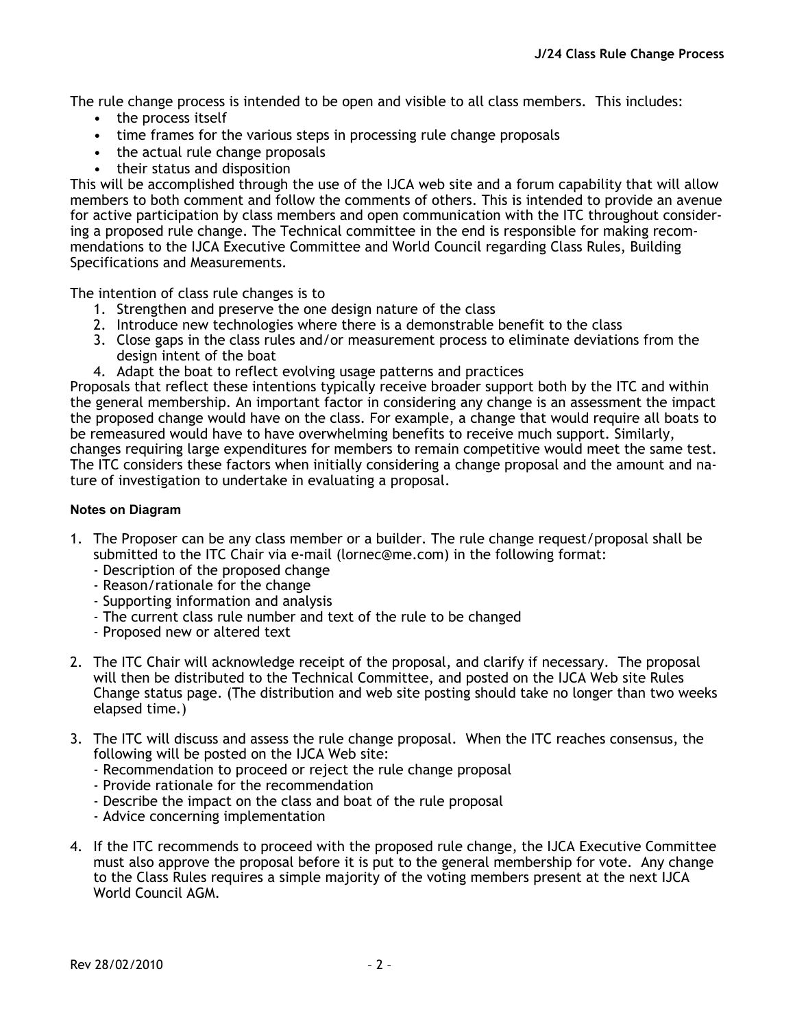The rule change process is intended to be open and visible to all class members. This includes:

- the process itself
- time frames for the various steps in processing rule change proposals
- the actual rule change proposals
- their status and disposition

This will be accomplished through the use of the IJCA web site and a forum capability that will allow members to both comment and follow the comments of others. This is intended to provide an avenue for active participation by class members and open communication with the ITC throughout considering a proposed rule change. The Technical committee in the end is responsible for making recommendations to the IJCA Executive Committee and World Council regarding Class Rules, Building Specifications and Measurements.

The intention of class rule changes is to

- 1. Strengthen and preserve the one design nature of the class
- 2. Introduce new technologies where there is a demonstrable benefit to the class
- 3. Close gaps in the class rules and/or measurement process to eliminate deviations from the design intent of the boat
- 4. Adapt the boat to reflect evolving usage patterns and practices

Proposals that reflect these intentions typically receive broader support both by the ITC and within the general membership. An important factor in considering any change is an assessment the impact the proposed change would have on the class. For example, a change that would require all boats to be remeasured would have to have overwhelming benefits to receive much support. Similarly, changes requiring large expenditures for members to remain competitive would meet the same test. The ITC considers these factors when initially considering a change proposal and the amount and nature of investigation to undertake in evaluating a proposal.

## **Notes on Diagram**

- 1. The Proposer can be any class member or a builder. The rule change request/proposal shall be submitted to the ITC Chair via e-mail (lornec@me.com) in the following format:
	- Description of the proposed change
	- Reason/rationale for the change
	- Supporting information and analysis
	- The current class rule number and text of the rule to be changed
	- Proposed new or altered text
- 2. The ITC Chair will acknowledge receipt of the proposal, and clarify if necessary. The proposal will then be distributed to the Technical Committee, and posted on the IJCA Web site Rules Change status page. (The distribution and web site posting should take no longer than two weeks elapsed time.)
- 3. The ITC will discuss and assess the rule change proposal. When the ITC reaches consensus, the following will be posted on the IJCA Web site:
	- Recommendation to proceed or reject the rule change proposal
	- Provide rationale for the recommendation
	- Describe the impact on the class and boat of the rule proposal
	- Advice concerning implementation
- 4. If the ITC recommends to proceed with the proposed rule change, the IJCA Executive Committee must also approve the proposal before it is put to the general membership for vote. Any change to the Class Rules requires a simple majority of the voting members present at the next IJCA World Council AGM.